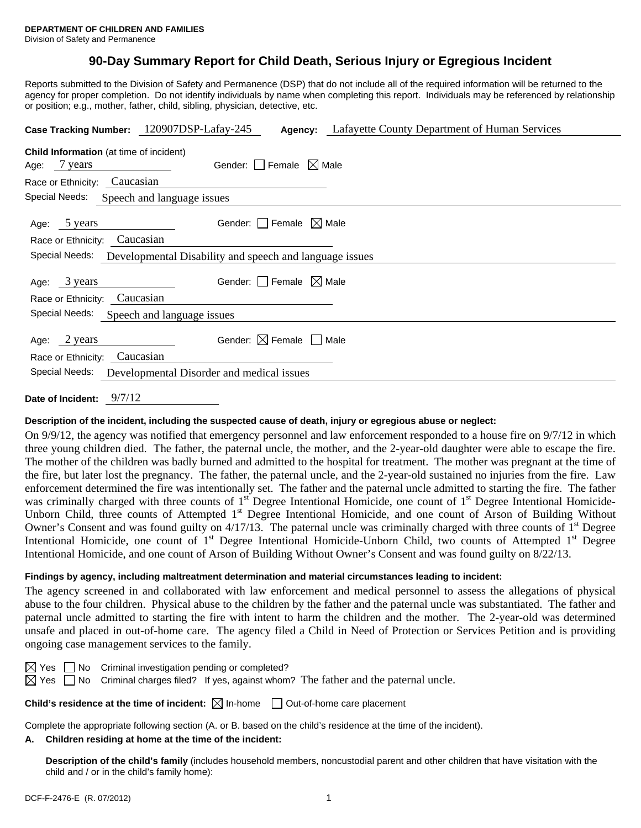# **90-Day Summary Report for Child Death, Serious Injury or Egregious Incident**

Reports submitted to the Division of Safety and Permanence (DSP) that do not include all of the required information will be returned to the agency for proper completion. Do not identify individuals by name when completing this report. Individuals may be referenced by relationship or position; e.g., mother, father, child, sibling, physician, detective, etc.

|                                                                           | Case Tracking Number: 120907DSP-Lafay-245        | <b>Agency:</b> Lafayette County Department of Human Services |  |  |  |  |
|---------------------------------------------------------------------------|--------------------------------------------------|--------------------------------------------------------------|--|--|--|--|
| Child Information (at time of incident)<br>Age: 7 years                   | Gender: Female $\boxtimes$ Male                  |                                                              |  |  |  |  |
| Caucasian<br>Race or Ethnicity:                                           |                                                  |                                                              |  |  |  |  |
| Special Needs:                                                            | Speech and language issues                       |                                                              |  |  |  |  |
| Age: 5 years<br>Race or Ethnicity:                                        | Gender: $ $   Female $\bowtie$ Male<br>Caucasian |                                                              |  |  |  |  |
| Special Needs:<br>Developmental Disability and speech and language issues |                                                  |                                                              |  |  |  |  |
| Age: 3 years<br>Race or Ethnicity:                                        | Gender: Female $\boxtimes$ Male<br>Caucasian     |                                                              |  |  |  |  |
| Special Needs:<br>Speech and language issues                              |                                                  |                                                              |  |  |  |  |
| 2 years<br>Age:<br>Race or Ethnicity: Caucasian                           | Gender: $\boxtimes$ Female                       | Male                                                         |  |  |  |  |
| Special Needs:                                                            | Developmental Disorder and medical issues        |                                                              |  |  |  |  |
|                                                                           |                                                  |                                                              |  |  |  |  |

**Date of Incident:** 9/7/12

## **Description of the incident, including the suspected cause of death, injury or egregious abuse or neglect:**

On 9/9/12, the agency was notified that emergency personnel and law enforcement responded to a house fire on 9/7/12 in which three young children died. The father, the paternal uncle, the mother, and the 2-year-old daughter were able to escape the fire. The mother of the children was badly burned and admitted to the hospital for treatment. The mother was pregnant at the time of the fire, but later lost the pregnancy. The father, the paternal uncle, and the 2-year-old sustained no injuries from the fire. Law enforcement determined the fire was intentionally set. The father and the paternal uncle admitted to starting the fire. The father was criminally charged with three counts of 1<sup>st</sup> Degree Intentional Homicide, one count of 1<sup>st</sup> Degree Intentional Homicide-Unborn Child, three counts of Attempted 1<sup>st</sup> Degree Intentional Homicide, and one count of Arson of Building Without Owner's Consent and was found guilty on  $4/17/13$ . The paternal uncle was criminally charged with three counts of  $1<sup>st</sup>$  Degree Intentional Homicide, one count of 1<sup>st</sup> Degree Intentional Homicide-Unborn Child, two counts of Attempted 1<sup>st</sup> Degree Intentional Homicide, and one count of Arson of Building Without Owner's Consent and was found guilty on 8/22/13.

#### **Findings by agency, including maltreatment determination and material circumstances leading to incident:**

The agency screened in and collaborated with law enforcement and medical personnel to assess the allegations of physical abuse to the four children. Physical abuse to the children by the father and the paternal uncle was substantiated. The father and paternal uncle admitted to starting the fire with intent to harm the children and the mother. The 2-year-old was determined unsafe and placed in out-of-home care. The agency filed a Child in Need of Protection or Services Petition and is providing ongoing case management services to the family.

|  | $\boxtimes$ Yes $\Box$ No Criminal investigation pending or completed?                                     |  |  |
|--|------------------------------------------------------------------------------------------------------------|--|--|
|  | $\boxtimes$ Yes $\Box$ No Criminal charges filed? If yes, against whom? The father and the paternal uncle. |  |  |

**Child's residence at the time of incident:**  $\boxtimes$  In-home  $\Box$  Out-of-home care placement

Complete the appropriate following section (A. or B. based on the child's residence at the time of the incident).

#### **A. Children residing at home at the time of the incident:**

**Description of the child's family** (includes household members, noncustodial parent and other children that have visitation with the child and / or in the child's family home):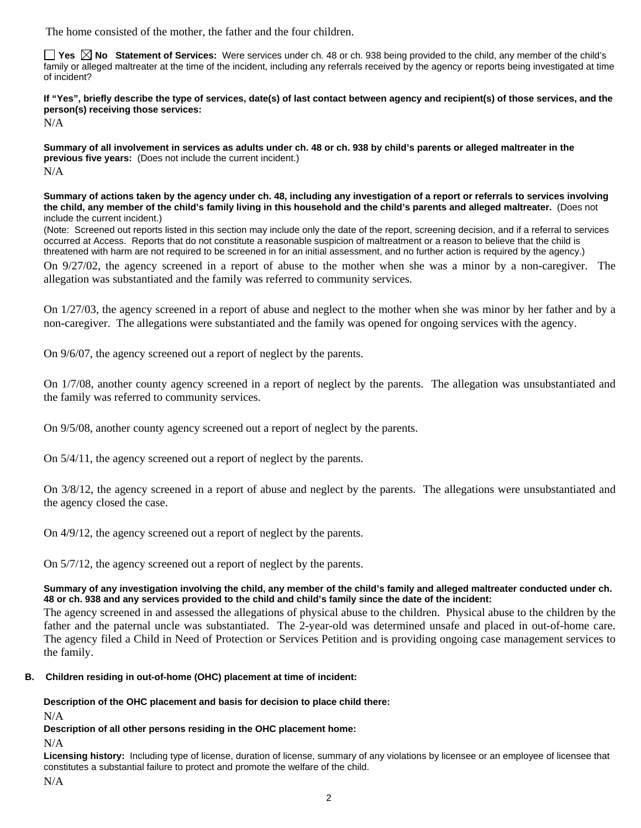The home consisted of the mother, the father and the four children.

**Tes**  $\boxtimes$  **No** Statement of Services: Were services under ch. 48 or ch. 938 being provided to the child, any member of the child's family or alleged maltreater at the time of the incident, including any referrals received by the agency or reports being investigated at time of incident?

**If "Yes", briefly describe the type of services, date(s) of last contact between agency and recipient(s) of those services, and the person(s) receiving those services:** 

N/A

**Summary of all involvement in services as adults under ch. 48 or ch. 938 by child's parents or alleged maltreater in the previous five years:** (Does not include the current incident.) N/A

**Summary of actions taken by the agency under ch. 48, including any investigation of a report or referrals to services involving the child, any member of the child's family living in this household and the child's parents and alleged maltreater.** (Does not include the current incident.)

(Note: Screened out reports listed in this section may include only the date of the report, screening decision, and if a referral to services occurred at Access. Reports that do not constitute a reasonable suspicion of maltreatment or a reason to believe that the child is threatened with harm are not required to be screened in for an initial assessment, and no further action is required by the agency.)

On 9/27/02, the agency screened in a report of abuse to the mother when she was a minor by a non-caregiver. The allegation was substantiated and the family was referred to community services.

On 1/27/03, the agency screened in a report of abuse and neglect to the mother when she was minor by her father and by a non-caregiver. The allegations were substantiated and the family was opened for ongoing services with the agency.

On 9/6/07, the agency screened out a report of neglect by the parents.

On 1/7/08, another county agency screened in a report of neglect by the parents. The allegation was unsubstantiated and the family was referred to community services.

On 9/5/08, another county agency screened out a report of neglect by the parents.

On 5/4/11, the agency screened out a report of neglect by the parents.

On 3/8/12, the agency screened in a report of abuse and neglect by the parents. The allegations were unsubstantiated and the agency closed the case.

On 4/9/12, the agency screened out a report of neglect by the parents.

On 5/7/12, the agency screened out a report of neglect by the parents.

## **Summary of any investigation involving the child, any member of the child's family and alleged maltreater conducted under ch. 48 or ch. 938 and any services provided to the child and child's family since the date of the incident:**

The agency screened in and assessed the allegations of physical abuse to the children. Physical abuse to the children by the father and the paternal uncle was substantiated. The 2-year-old was determined unsafe and placed in out-of-home care. The agency filed a Child in Need of Protection or Services Petition and is providing ongoing case management services to the family.

# **B. Children residing in out-of-home (OHC) placement at time of incident:**

**Description of the OHC placement and basis for decision to place child there:**

N/A

**Description of all other persons residing in the OHC placement home:**

 $N/A$ 

**Licensing history:** Including type of license, duration of license, summary of any violations by licensee or an employee of licensee that constitutes a substantial failure to protect and promote the welfare of the child.

N/A